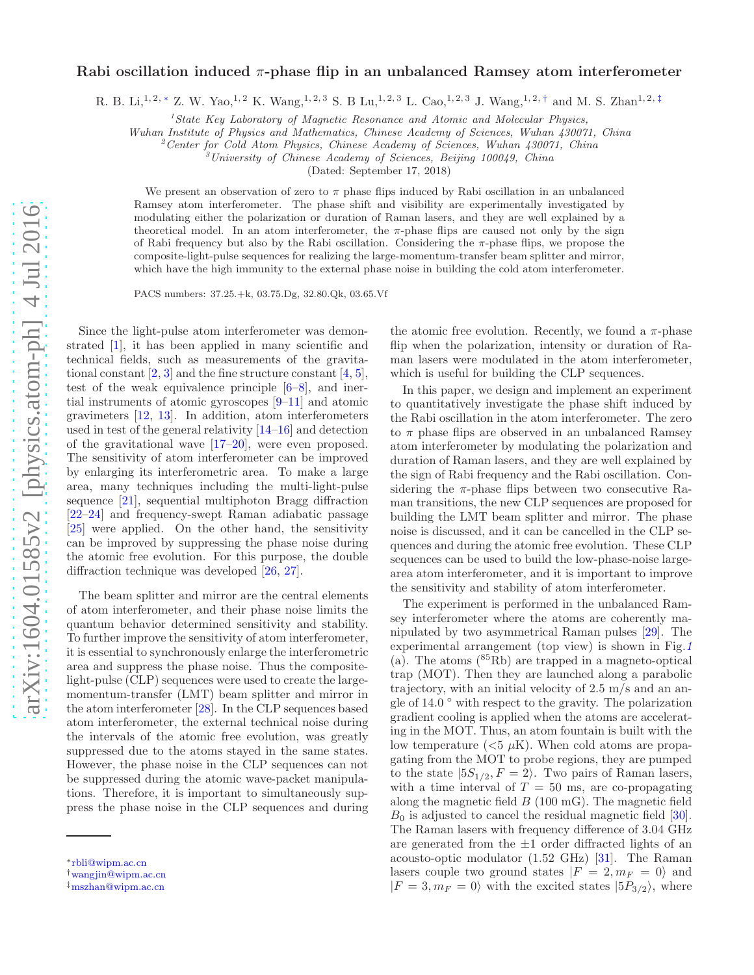## Rabi oscillation induced  $\pi$ -phase flip in an unbalanced Ramsey atom interferometer

R. B. Li,<sup>1, 2, \*</sup> Z. W. Yao,<sup>1, 2</sup> K. Wang,<sup>1, 2, 3</sup> S. B Lu,<sup>1, 2, 3</sup> L. Cao,<sup>1, 2, 3</sup> J. Wang,<sup>1, 2, [†](#page-0-1)</sup> and M. S. Zhan<sup>1, 2, [‡](#page-0-2)</sup>

<sup>1</sup> State Key Laboratory of Magnetic Resonance and Atomic and Molecular Physics,

Wuhan Institute of Physics and Mathematics, Chinese Academy of Sciences, Wuhan 430071, China

<sup>2</sup> Center for Cold Atom Physics, Chinese Academy of Sciences, Wuhan  $430071$ , China

 $3$ University of Chinese Academy of Sciences, Beijing 100049, China

(Dated: September 17, 2018)

We present an observation of zero to  $\pi$  phase flips induced by Rabi oscillation in an unbalanced Ramsey atom interferometer. The phase shift and visibility are experimentally investigated by modulating either the polarization or duration of Raman lasers, and they are well explained by a theoretical model. In an atom interferometer, the  $\pi$ -phase flips are caused not only by the sign of Rabi frequency but also by the Rabi oscillation. Considering the π-phase flips, we propose the composite-light-pulse sequences for realizing the large-momentum-transfer beam splitter and mirror, which have the high immunity to the external phase noise in building the cold atom interferometer.

PACS numbers: 37.25.+k, 03.75.Dg, 32.80.Qk, 03.65.Vf

Since the light-pulse atom interferometer was demonstrated [\[1\]](#page-4-0), it has been applied in many scientific and technical fields, such as measurements of the gravitational constant  $[2, 3]$  $[2, 3]$  $[2, 3]$  and the fine structure constant  $[4, 5]$  $[4, 5]$ , test of the weak equivalence principle  $[6-8]$ , and inertial instruments of atomic gyroscopes [\[9](#page-4-7)[–11\]](#page-4-8) and atomic gravimeters [\[12,](#page-4-9) [13](#page-4-10)]. In addition, atom interferometers used in test of the general relativity [\[14](#page-4-11)[–16\]](#page-4-12) and detection of the gravitational wave [\[17–](#page-4-13)[20\]](#page-4-14), were even proposed. The sensitivity of atom interferometer can be improved by enlarging its interferometric area. To make a large area, many techniques including the multi-light-pulse sequence [\[21\]](#page-4-15), sequential multiphoton Bragg diffraction [\[22](#page-4-16)[–24\]](#page-4-17) and frequency-swept Raman adiabatic passage [\[25\]](#page-4-18) were applied. On the other hand, the sensitivity can be improved by suppressing the phase noise during the atomic free evolution. For this purpose, the double diffraction technique was developed [\[26,](#page-4-19) [27\]](#page-4-20).

The beam splitter and mirror are the central elements of atom interferometer, and their phase noise limits the quantum behavior determined sensitivity and stability. To further improve the sensitivity of atom interferometer, it is essential to synchronously enlarge the interferometric area and suppress the phase noise. Thus the compositelight-pulse (CLP) sequences were used to create the largemomentum-transfer (LMT) beam splitter and mirror in the atom interferometer [\[28](#page-4-21)]. In the CLP sequences based atom interferometer, the external technical noise during the intervals of the atomic free evolution, was greatly suppressed due to the atoms stayed in the same states. However, the phase noise in the CLP sequences can not be suppressed during the atomic wave-packet manipulations. Therefore, it is important to simultaneously suppress the phase noise in the CLP sequences and during

the atomic free evolution. Recently, we found a  $\pi$ -phase flip when the polarization, intensity or duration of Raman lasers were modulated in the atom interferometer, which is useful for building the CLP sequences.

In this paper, we design and implement an experiment to quantitatively investigate the phase shift induced by the Rabi oscillation in the atom interferometer. The zero to  $\pi$  phase flips are observed in an unbalanced Ramsey atom interferometer by modulating the polarization and duration of Raman lasers, and they are well explained by the sign of Rabi frequency and the Rabi oscillation. Considering the  $\pi$ -phase flips between two consecutive Raman transitions, the new CLP sequences are proposed for building the LMT beam splitter and mirror. The phase noise is discussed, and it can be cancelled in the CLP sequences and during the atomic free evolution. These CLP sequences can be used to build the low-phase-noise largearea atom interferometer, and it is important to improve the sensitivity and stability of atom interferometer.

The experiment is performed in the unbalanced Ramsey interferometer where the atoms are coherently manipulated by two asymmetrical Raman pulses [\[29\]](#page-4-22). The experimental arrangement (top view) is shown in Fig.[1](#page-1-0) (a). The atoms  $(^{85}Rb)$  are trapped in a magneto-optical trap (MOT). Then they are launched along a parabolic trajectory, with an initial velocity of 2.5 m/s and an angle of  $14.0\degree$  with respect to the gravity. The polarization gradient cooling is applied when the atoms are accelerating in the MOT. Thus, an atom fountain is built with the low temperature  $( $5 \mu K$ ). When cold atoms are propa$ gating from the MOT to probe regions, they are pumped to the state  $|5S_{1/2}, F = 2\rangle$ . Two pairs of Raman lasers, with a time interval of  $T = 50$  ms, are co-propagating along the magnetic field  $B(100 \text{ mG})$ . The magnetic field  $B_0$  is adjusted to cancel the residual magnetic field [\[30\]](#page-4-23). The Raman lasers with frequency difference of 3.04 GHz are generated from the  $\pm 1$  order diffracted lights of an acousto-optic modulator (1.52 GHz) [\[31\]](#page-4-24). The Raman lasers couple two ground states  $|F = 2, m_F = 0\rangle$  and  $|F = 3, m_F = 0\rangle$  with the excited states  $|5P_{3/2}\rangle$ , where

<span id="page-0-0"></span><sup>∗</sup>[rbli@wipm.ac.cn](mailto:rbli@wipm.ac.cn)

<span id="page-0-1"></span><sup>†</sup>[wangjin@wipm.ac.cn](mailto:wangjin@wipm.ac.cn)

<span id="page-0-2"></span><sup>‡</sup>[mszhan@wipm.ac.cn](mailto:mszhan@wipm.ac.cn)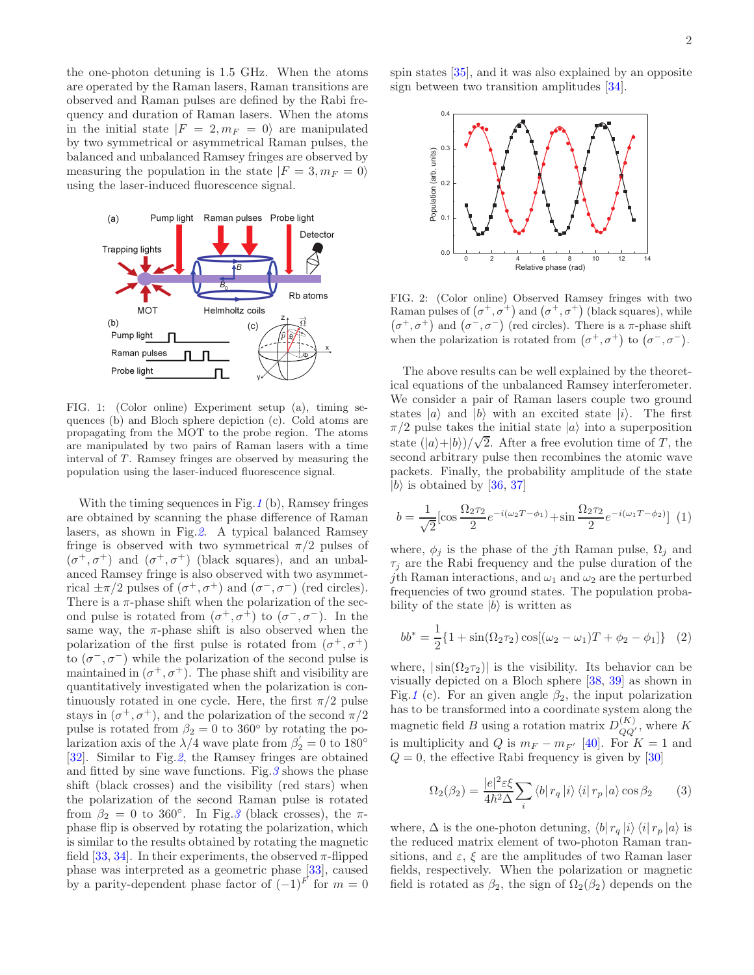the one-photon detuning is 1.5 GHz. When the atoms are operated by the Raman lasers, Raman transitions are observed and Raman pulses are defined by the Rabi frequency and duration of Raman lasers. When the atoms in the initial state  $|F = 2, m_F = 0\rangle$  are manipulated by two symmetrical or asymmetrical Raman pulses, the balanced and unbalanced Ramsey fringes are observed by measuring the population in the state  $|F = 3, m_F = 0\rangle$ using the laser-induced fluorescence signal.



<span id="page-1-0"></span>FIG. 1: (Color online) Experiment setup (a), timing sequences (b) and Bloch sphere depiction (c). Cold atoms are propagating from the MOT to the probe region. The atoms are manipulated by two pairs of Raman lasers with a time interval of  $T$ . Ramsey fringes are observed by measuring the population using the laser-induced fluorescence signal.

With the timing sequences in Fig.  $1$  (b), Ramsey fringes are obtained by scanning the phase difference of Raman lasers, as shown in Fig.[2](#page-1-1). A typical balanced Ramsey fringe is observed with two symmetrical  $\pi/2$  pulses of  $(\sigma^+,\sigma^+)$  and  $(\sigma^+,\sigma^+)$  (black squares), and an unbalanced Ramsey fringe is also observed with two asymmetrical  $\pm \pi/2$  pulses of  $(\sigma^+, \sigma^+)$  and  $(\sigma^-, \sigma^-)$  (red circles). There is a  $\pi$ -phase shift when the polarization of the second pulse is rotated from  $(\sigma^+, \sigma^+)$  to  $(\sigma^-, \sigma^-)$ . In the same way, the  $\pi$ -phase shift is also observed when the polarization of the first pulse is rotated from  $(\sigma^+, \sigma^+)$ to  $(\sigma^-,\sigma^-)$  while the polarization of the second pulse is maintained in  $(\sigma^+, \sigma^+)$ . The phase shift and visibility are quantitatively investigated when the polarization is continuously rotated in one cycle. Here, the first  $\pi/2$  pulse stays in  $(\sigma^+, \sigma^+)$ , and the polarization of the second  $\pi/2$ pulse is rotated from  $\beta_2 = 0$  to 360° by rotating the polarization axis of the  $\lambda/4$  wave plate from  $\beta'_2 = 0$  to  $180^\circ$ [\[32\]](#page-4-25). Similar to Fig.[2](#page-1-1), the Ramsey fringes are obtained and fitted by sine wave functions. Fig.  $3$  shows the phase shift (black crosses) and the visibility (red stars) when the polarization of the second Raman pulse is rotated from  $\beta_2 = 0$  to [3](#page-2-0)60°. In Fig. 3 (black crosses), the  $\pi$ phase flip is observed by rotating the polarization, which is similar to the results obtained by rotating the magnetic field  $[33, 34]$  $[33, 34]$  $[33, 34]$ . In their experiments, the observed  $\pi$ -flipped phase was interpreted as a geometric phase [\[33](#page-4-26)], caused by a parity-dependent phase factor of  $(-1)^{F}$  for  $m = 0$ 

spin states [\[35\]](#page-5-1), and it was also explained by an opposite sign between two transition amplitudes [\[34](#page-5-0)].



<span id="page-1-1"></span>FIG. 2: (Color online) Observed Ramsey fringes with two Raman pulses of  $(\sigma^+, \sigma^+)$  and  $(\sigma^+, \sigma^+)$  (black squares), while  $(\sigma^+,\sigma^+)$  and  $(\sigma^-,\sigma^-)$  (red circles). There is a  $\pi$ -phase shift when the polarization is rotated from  $(\sigma^+, \sigma^+)$  to  $(\sigma^-, \sigma^-)$ .

The above results can be well explained by the theoretical equations of the unbalanced Ramsey interferometer. We consider a pair of Raman lasers couple two ground states  $|a\rangle$  and  $|b\rangle$  with an excited state  $|i\rangle$ . The first  $\pi/2$  pulse takes the initial state  $|a\rangle$  into a superposition state  $(|a\rangle+|b\rangle)/\sqrt{2}$ . After a free evolution time of T, the second arbitrary pulse then recombines the atomic wave packets. Finally, the probability amplitude of the state  $|b\rangle$  is obtained by [\[36,](#page-5-2) [37\]](#page-5-3)

$$
b = \frac{1}{\sqrt{2}} [\cos \frac{\Omega_2 \tau_2}{2} e^{-i(\omega_2 T - \phi_1)} + \sin \frac{\Omega_2 \tau_2}{2} e^{-i(\omega_1 T - \phi_2)}] (1)
$$

where,  $\phi_j$  is the phase of the j<sup>th</sup> Raman pulse,  $\Omega_j$  and  $\tau_i$  are the Rabi frequency and the pulse duration of the jth Raman interactions, and  $\omega_1$  and  $\omega_2$  are the perturbed frequencies of two ground states. The population probability of the state  $|b\rangle$  is written as

<span id="page-1-3"></span>
$$
bb^* = \frac{1}{2} \{ 1 + \sin(\Omega_2 \tau_2) \cos[(\omega_2 - \omega_1)T + \phi_2 - \phi_1] \} \quad (2)
$$

where,  $|\sin(\Omega_2 \tau_2)|$  is the visibility. Its behavior can be visually depicted on a Bloch sphere [\[38,](#page-5-4) [39\]](#page-5-5) as shown in Fig.[1](#page-1-0) (c). For an given angle  $\beta_2$ , the input polarization has to be transformed into a coordinate system along the magnetic field B using a rotation matrix  $D_{QQ'}^{(K)}$ , where K is multiplicity and Q is  $m_F - m_{F'}$  [\[40](#page-5-6)]. For  $K = 1$  and  $Q = 0$ , the effective Rabi frequency is given by [\[30\]](#page-4-23)

<span id="page-1-2"></span>
$$
\Omega_2(\beta_2) = \frac{|e|^2 \varepsilon \xi}{4\hbar^2 \Delta} \sum_i \langle b| \, r_q \, |i\rangle \, \langle i| \, r_p \, |a\rangle \cos \beta_2 \qquad (3)
$$

where,  $\Delta$  is the one-photon detuning,  $\langle b | r_q | i \rangle \langle i | r_p | a \rangle$  is the reduced matrix element of two-photon Raman transitions, and  $\varepsilon$ ,  $\xi$  are the amplitudes of two Raman laser fields, respectively. When the polarization or magnetic field is rotated as  $\beta_2$ , the sign of  $\Omega_2(\beta_2)$  depends on the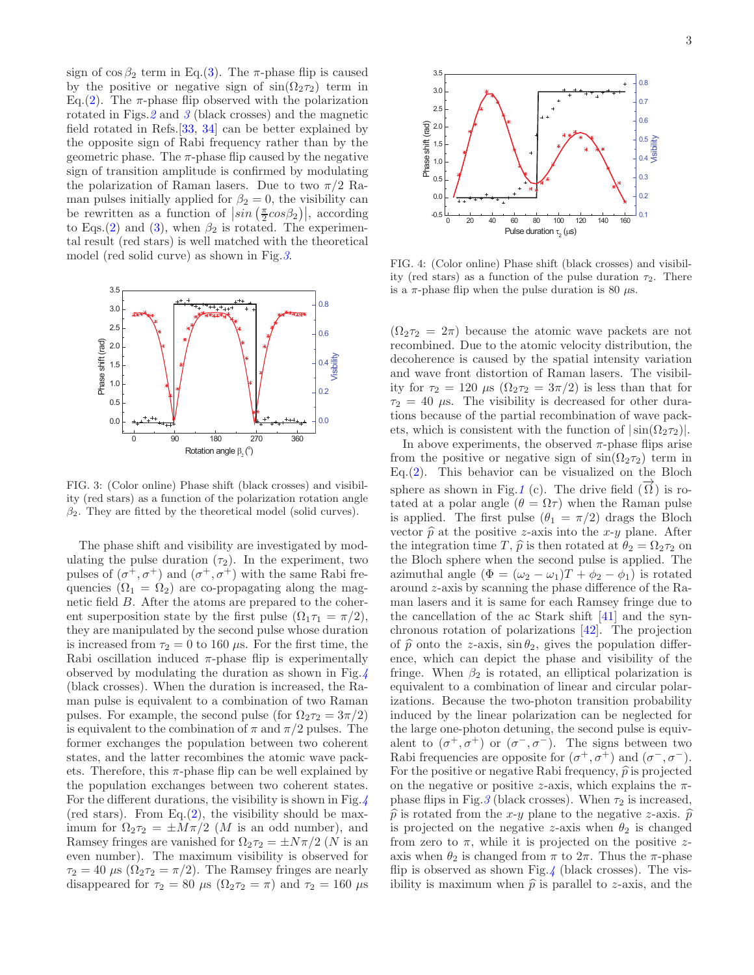sign of  $\cos \beta_2$  term in Eq.[\(3\)](#page-1-2). The  $\pi$ -phase flip is caused by the positive or negative sign of  $sin(\Omega_2 \tau_2)$  term in Eq.[\(2\)](#page-1-3). The  $\pi$ -phase flip observed with the polarization rotated in Figs.  $2$  and  $3$  (black crosses) and the magnetic field rotated in Refs.[\[33,](#page-4-26) [34](#page-5-0)] can be better explained by the opposite sign of Rabi frequency rather than by the geometric phase. The  $\pi$ -phase flip caused by the negative sign of transition amplitude is confirmed by modulating the polarization of Raman lasers. Due to two  $\pi/2$  Raman pulses initially applied for  $\beta_2 = 0$ , the visibility can be rewritten as a function of  $\left|\sin\left(\frac{\pi}{2}cos\beta_2\right)\right|$ , according to Eqs.[\(2\)](#page-1-3) and [\(3\)](#page-1-2), when  $\beta_2$  is rotated. The experimental result (red stars) is well matched with the theoretical model (red solid curve) as shown in Fig.[3](#page-2-0).



<span id="page-2-0"></span>FIG. 3: (Color online) Phase shift (black crosses) and visibility (red stars) as a function of the polarization rotation angle  $\beta_2$ . They are fitted by the theoretical model (solid curves).

The phase shift and visibility are investigated by modulating the pulse duration  $(\tau_2)$ . In the experiment, two pulses of  $(\sigma^+, \sigma^+)$  and  $(\sigma^+, \sigma^+)$  with the same Rabi frequencies  $(\Omega_1 = \Omega_2)$  are co-propagating along the magnetic field B. After the atoms are prepared to the coherent superposition state by the first pulse  $(\Omega_1 \tau_1 = \pi/2)$ , they are manipulated by the second pulse whose duration is increased from  $\tau_2 = 0$  to 160  $\mu$ s. For the first time, the Rabi oscillation induced  $\pi$ -phase flip is experimentally observed by modulating the duration as shown in Fig.[4](#page-2-1) (black crosses). When the duration is increased, the Raman pulse is equivalent to a combination of two Raman pulses. For example, the second pulse (for  $\Omega_2 \tau_2 = 3\pi/2$ ) is equivalent to the combination of  $\pi$  and  $\pi/2$  pulses. The former exchanges the population between two coherent states, and the latter recombines the atomic wave packets. Therefore, this  $\pi$ -phase flip can be well explained by the population exchanges between two coherent states. For the different durations, the visibility is shown in Fig.  $/$ (red stars). From Eq. $(2)$ , the visibility should be maximum for  $\Omega_2 \tau_2 = \pm M \pi/2$  (*M* is an odd number), and Ramsey fringes are vanished for  $\Omega_2 \tau_2 = \pm N \pi/2$  (N is an even number). The maximum visibility is observed for  $\tau_2 = 40 \mu s \left( \Omega_2 \tau_2 = \pi/2 \right)$ . The Ramsey fringes are nearly disappeared for  $\tau_2 = 80 \mu s (\Omega_2 \tau_2 = \pi)$  and  $\tau_2 = 160 \mu s$ 



<span id="page-2-1"></span>FIG. 4: (Color online) Phase shift (black crosses) and visibility (red stars) as a function of the pulse duration  $\tau_2$ . There is a  $\pi$ -phase flip when the pulse duration is 80  $\mu$ s.

 $(\Omega_2 \tau_2 = 2\pi)$  because the atomic wave packets are not recombined. Due to the atomic velocity distribution, the decoherence is caused by the spatial intensity variation and wave front distortion of Raman lasers. The visibility for  $\tau_2 = 120 \mu s \left( \Omega_2 \tau_2 = 3\pi/2 \right)$  is less than that for  $\tau_2 = 40 \mu$ s. The visibility is decreased for other durations because of the partial recombination of wave packets, which is consistent with the function of  $|\sin(\Omega_2\tau_2)|$ .

In above experiments, the observed  $\pi$ -phase flips arise from the positive or negative sign of  $\sin(\Omega_2 \tau_2)$  term in Eq. $(2)$ . This behavior can be visualized on the Bloch sphere as shown in Fig.[1](#page-1-0) (c). The drive field  $(\vec{\Omega})$  is rotated at a polar angle  $(\theta = \Omega \tau)$  when the Raman pulse is applied. The first pulse  $(\theta_1 = \pi/2)$  drags the Bloch vector  $\hat{p}$  at the positive z-axis into the x-y plane. After the integration time T,  $\hat{p}$  is then rotated at  $\theta_2 = \Omega_2 \tau_2$  on the Bloch sphere when the second pulse is applied. The azimuthal angle  $(\Phi = (\omega_2 - \omega_1)T + \phi_2 - \phi_1)$  is rotated around z-axis by scanning the phase difference of the Raman lasers and it is same for each Ramsey fringe due to the cancellation of the ac Stark shift [\[41\]](#page-5-7) and the synchronous rotation of polarizations [\[42\]](#page-5-8). The projection of  $\hat{p}$  onto the z-axis,  $\sin \theta_2$ , gives the population difference, which can depict the phase and visibility of the fringe. When  $\beta_2$  is rotated, an elliptical polarization is equivalent to a combination of linear and circular polarizations. Because the two-photon transition probability induced by the linear polarization can be neglected for the large one-photon detuning, the second pulse is equivalent to  $(\sigma^+, \sigma^+)$  or  $(\sigma^-, \sigma^-)$ . The signs between two Rabi frequencies are opposite for  $(\sigma^+, \sigma^+)$  and  $(\sigma^-, \sigma^-)$ . For the positive or negative Rabi frequency,  $\hat{p}$  is projected on the negative or positive z-axis, which explains the  $\pi$ phase flips in Fig.  $3$  (black crosses). When  $\tau_2$  is increased,  $\hat{p}$  is rotated from the x-y plane to the negative z-axis.  $\hat{p}$ is projected on the negative z-axis when  $\theta_2$  is changed from zero to  $\pi$ , while it is projected on the positive zaxis when  $\theta_2$  is changed from  $\pi$  to  $2\pi$ . Thus the  $\pi$ -phase flip is observed as shown Fig.[4](#page-2-1) (black crosses). The visibility is maximum when  $\hat{p}$  is parallel to z-axis, and the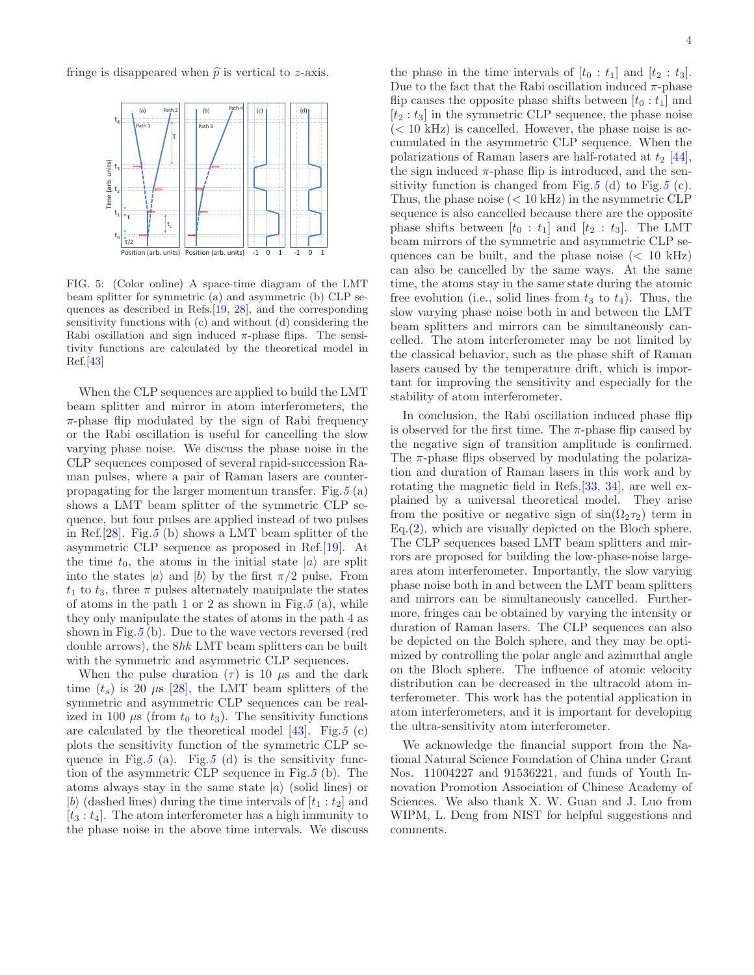fringe is disappeared when  $\hat{p}$  is vertical to z-axis.



<span id="page-3-0"></span>FIG. 5: (Color online) A space-time diagram of the LMT beam splitter for symmetric (a) and asymmetric (b) CLP sequences as described in Refs.[\[19](#page-4-27), [28](#page-4-21)], and the corresponding sensitivity functions with (c) and without (d) considering the Rabi oscillation and sign induced  $\pi$ -phase flips. The sensitivity functions are calculated by the theoretical model in Ref.[\[43](#page-5-9)]

When the CLP sequences are applied to build the LMT beam splitter and mirror in atom interferometers, the  $\pi$ -phase flip modulated by the sign of Rabi frequency or the Rabi oscillation is useful for cancelling the slow varying phase noise. We discuss the phase noise in the CLP sequences composed of several rapid-succession Raman pulses, where a pair of Raman lasers are counterpropagating for the larger momentum transfer. Fig.  $5(a)$  $5(a)$ shows a LMT beam splitter of the symmetric CLP sequence, but four pulses are applied instead of two pulses in Ref.[ $28$ ]. Fig. [5](#page-3-0) (b) shows a LMT beam splitter of the asymmetric CLP sequence as proposed in Ref.[\[19](#page-4-27)]. At the time  $t_0$ , the atoms in the initial state  $|a\rangle$  are split into the states  $|a\rangle$  and  $|b\rangle$  by the first  $\pi/2$  pulse. From  $t_1$  to  $t_3$ , three  $\pi$  pulses alternately manipulate the states of atoms in the path 1 or 2 as shown in Fig.[5](#page-3-0) (a), while they only manipulate the states of atoms in the path 4 as shown in Fig.  $5$  (b). Due to the wave vectors reversed (red double arrows), the  $8\hbar k$  LMT beam splitters can be built with the symmetric and asymmetric CLP sequences.

When the pulse duration  $(\tau)$  is 10  $\mu$ s and the dark time  $(t_s)$  is 20  $\mu$ s [\[28](#page-4-21)], the LMT beam splitters of the symmetric and asymmetric CLP sequences can be realized in 100  $\mu$ s (from  $t_0$  to  $t_3$ ). The sensitivity functions are calculated by the theoretical model  $[43]$ . Fig.  $5$  (c) plots the sensitivity function of the symmetric CLP se-quence in Fig.[5](#page-3-0) (a). Fig.5 (d) is the sensitivity func-tion of the asymmetric CLP sequence in Fig.[5](#page-3-0) (b). The atoms always stay in the same state  $|a\rangle$  (solid lines) or |b| (dashed lines) during the time intervals of  $[t_1 : t_2]$  and  $[t_3 : t_4]$ . The atom interferometer has a high immunity to the phase noise in the above time intervals. We discuss

the phase in the time intervals of  $[t_0 : t_1]$  and  $[t_2 : t_3]$ . Due to the fact that the Rabi oscillation induced  $\pi$ -phase flip causes the opposite phase shifts between  $[t_0 : t_1]$  and  $[t_2 : t_3]$  in the symmetric CLP sequence, the phase noise  $(< 10 \text{ kHz})$  is cancelled. However, the phase noise is accumulated in the asymmetric CLP sequence. When the polarizations of Raman lasers are half-rotated at  $t_2$  [\[44\]](#page-5-10), the sign induced  $\pi$ -phase flip is introduced, and the sen-sitivity function is changed from Fig.[5](#page-3-0) (d) to Fig.5 (c). Thus, the phase noise  $(< 10 \text{ kHz})$  in the asymmetric CLP sequence is also cancelled because there are the opposite phase shifts between  $[t_0 : t_1]$  and  $[t_2 : t_3]$ . The LMT beam mirrors of the symmetric and asymmetric CLP sequences can be built, and the phase noise  $\langle \langle 10 \text{ kHz} \rangle$ can also be cancelled by the same ways. At the same time, the atoms stay in the same state during the atomic free evolution (i.e., solid lines from  $t_3$  to  $t_4$ ). Thus, the slow varying phase noise both in and between the LMT beam splitters and mirrors can be simultaneously cancelled. The atom interferometer may be not limited by the classical behavior, such as the phase shift of Raman lasers caused by the temperature drift, which is important for improving the sensitivity and especially for the stability of atom interferometer.

In conclusion, the Rabi oscillation induced phase flip is observed for the first time. The  $\pi$ -phase flip caused by the negative sign of transition amplitude is confirmed. The  $\pi$ -phase flips observed by modulating the polarization and duration of Raman lasers in this work and by rotating the magnetic field in Refs.[\[33](#page-4-26), [34\]](#page-5-0), are well explained by a universal theoretical model. They arise from the positive or negative sign of  $sin(\Omega_2 \tau_2)$  term in Eq.[\(2\)](#page-1-3), which are visually depicted on the Bloch sphere. The CLP sequences based LMT beam splitters and mirrors are proposed for building the low-phase-noise largearea atom interferometer. Importantly, the slow varying phase noise both in and between the LMT beam splitters and mirrors can be simultaneously cancelled. Furthermore, fringes can be obtained by varying the intensity or duration of Raman lasers. The CLP sequences can also be depicted on the Bolch sphere, and they may be optimized by controlling the polar angle and azimuthal angle on the Bloch sphere. The influence of atomic velocity distribution can be decreased in the ultracold atom interferometer. This work has the potential application in atom interferometers, and it is important for developing the ultra-sensitivity atom interferometer.

We acknowledge the financial support from the National Natural Science Foundation of China under Grant Nos. 11004227 and 91536221, and funds of Youth Innovation Promotion Association of Chinese Academy of Sciences. We also thank X. W. Guan and J. Luo from WIPM, L. Deng from NIST for helpful suggestions and comments.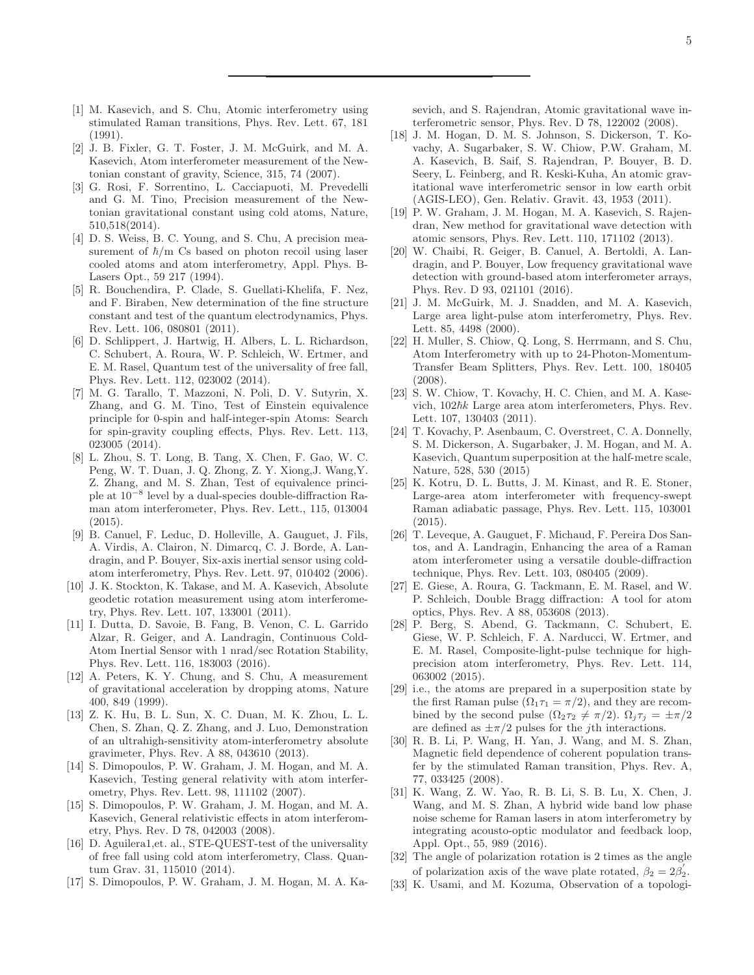- <span id="page-4-0"></span>[1] M. Kasevich, and S. Chu, Atomic interferometry using stimulated Raman transitions, Phys. Rev. Lett. 67, 181 (1991).
- <span id="page-4-1"></span>[2] J. B. Fixler, G. T. Foster, J. M. McGuirk, and M. A. Kasevich, Atom interferometer measurement of the Newtonian constant of gravity, Science, 315, 74 (2007).
- <span id="page-4-2"></span>[3] G. Rosi, F. Sorrentino, L. Cacciapuoti, M. Prevedelli and G. M. Tino, Precision measurement of the Newtonian gravitational constant using cold atoms, Nature, 510,518(2014).
- <span id="page-4-3"></span>[4] D. S. Weiss, B. C. Young, and S. Chu, A precision measurement of  $\hbar/m$  Cs based on photon recoil using laser cooled atoms and atom interferometry, Appl. Phys. B-Lasers Opt., 59 217 (1994).
- <span id="page-4-4"></span>[5] R. Bouchendira, P. Clade, S. Guellati-Khelifa, F. Nez, and F. Biraben, New determination of the fine structure constant and test of the quantum electrodynamics, Phys. Rev. Lett. 106, 080801 (2011).
- <span id="page-4-5"></span>[6] D. Schlippert, J. Hartwig, H. Albers, L. L. Richardson, C. Schubert, A. Roura, W. P. Schleich, W. Ertmer, and E. M. Rasel, Quantum test of the universality of free fall, Phys. Rev. Lett. 112, 023002 (2014).
- [7] M. G. Tarallo, T. Mazzoni, N. Poli, D. V. Sutyrin, X. Zhang, and G. M. Tino, Test of Einstein equivalence principle for 0-spin and half-integer-spin Atoms: Search for spin-gravity coupling effects, Phys. Rev. Lett. 113, 023005 (2014).
- <span id="page-4-6"></span>[8] L. Zhou, S. T. Long, B. Tang, X. Chen, F. Gao, W. C. Peng, W. T. Duan, J. Q. Zhong, Z. Y. Xiong,J. Wang,Y. Z. Zhang, and M. S. Zhan, Test of equivalence principle at 10<sup>−</sup><sup>8</sup> level by a dual-species double-diffraction Raman atom interferometer, Phys. Rev. Lett., 115, 013004  $(2015).$
- <span id="page-4-7"></span>[9] B. Canuel, F. Leduc, D. Holleville, A. Gauguet, J. Fils, A. Virdis, A. Clairon, N. Dimarcq, C. J. Borde, A. Landragin, and P. Bouyer, Six-axis inertial sensor using coldatom interferometry, Phys. Rev. Lett. 97, 010402 (2006).
- [10] J. K. Stockton, K. Takase, and M. A. Kasevich, Absolute geodetic rotation measurement using atom interferometry, Phys. Rev. Lett. 107, 133001 (2011).
- <span id="page-4-8"></span>[11] I. Dutta, D. Savoie, B. Fang, B. Venon, C. L. Garrido Alzar, R. Geiger, and A. Landragin, Continuous Cold-Atom Inertial Sensor with 1 nrad/sec Rotation Stability, Phys. Rev. Lett. 116, 183003 (2016).
- <span id="page-4-9"></span>[12] A. Peters, K. Y. Chung, and S. Chu, A measurement of gravitational acceleration by dropping atoms, Nature 400, 849 (1999).
- <span id="page-4-10"></span>[13] Z. K. Hu, B. L. Sun, X. C. Duan, M. K. Zhou, L. L. Chen, S. Zhan, Q. Z. Zhang, and J. Luo, Demonstration of an ultrahigh-sensitivity atom-interferometry absolute gravimeter, Phys. Rev. A 88, 043610 (2013).
- <span id="page-4-11"></span>[14] S. Dimopoulos, P. W. Graham, J. M. Hogan, and M. A. Kasevich, Testing general relativity with atom interferometry, Phys. Rev. Lett. 98, 111102 (2007).
- [15] S. Dimopoulos, P. W. Graham, J. M. Hogan, and M. A. Kasevich, General relativistic effects in atom interferometry, Phys. Rev. D 78, 042003 (2008).
- <span id="page-4-12"></span>[16] D. Aguilera1,et. al., STE-QUEST-test of the universality of free fall using cold atom interferometry, Class. Quantum Grav. 31, 115010 (2014).
- <span id="page-4-13"></span>[17] S. Dimopoulos, P. W. Graham, J. M. Hogan, M. A. Ka-

sevich, and S. Rajendran, Atomic gravitational wave interferometric sensor, Phys. Rev. D 78, 122002 (2008).

- [18] J. M. Hogan, D. M. S. Johnson, S. Dickerson, T. Kovachy, A. Sugarbaker, S. W. Chiow, P.W. Graham, M. A. Kasevich, B. Saif, S. Rajendran, P. Bouyer, B. D. Seery, L. Feinberg, and R. Keski-Kuha, An atomic gravitational wave interferometric sensor in low earth orbit (AGIS-LEO), Gen. Relativ. Gravit. 43, 1953 (2011).
- <span id="page-4-27"></span>[19] P. W. Graham, J. M. Hogan, M. A. Kasevich, S. Rajendran, New method for gravitational wave detection with atomic sensors, Phys. Rev. Lett. 110, 171102 (2013).
- <span id="page-4-14"></span>[20] W. Chaibi, R. Geiger, B. Canuel, A. Bertoldi, A. Landragin, and P. Bouyer, Low frequency gravitational wave detection with ground-based atom interferometer arrays, Phys. Rev. D 93, 021101 (2016).
- <span id="page-4-15"></span>[21] J. M. McGuirk, M. J. Snadden, and M. A. Kasevich, Large area light-pulse atom interferometry, Phys. Rev. Lett. 85, 4498 (2000).
- <span id="page-4-16"></span>[22] H. Muller, S. Chiow, Q. Long, S. Herrmann, and S. Chu, Atom Interferometry with up to 24-Photon-Momentum-Transfer Beam Splitters, Phys. Rev. Lett. 100, 180405 (2008).
- [23] S. W. Chiow, T. Kovachy, H. C. Chien, and M. A. Kasevich,  $102\hbar k$  Large area atom interferometers, Phys. Rev. Lett. 107, 130403 (2011).
- <span id="page-4-17"></span>[24] T. Kovachy, P. Asenbaum, C. Overstreet, C. A. Donnelly, S. M. Dickerson, A. Sugarbaker, J. M. Hogan, and M. A. Kasevich, Quantum superposition at the half-metre scale, Nature, 528, 530 (2015)
- <span id="page-4-18"></span>[25] K. Kotru, D. L. Butts, J. M. Kinast, and R. E. Stoner, Large-area atom interferometer with frequency-swept Raman adiabatic passage, Phys. Rev. Lett. 115, 103001 (2015).
- <span id="page-4-19"></span>[26] T. Leveque, A. Gauguet, F. Michaud, F. Pereira Dos Santos, and A. Landragin, Enhancing the area of a Raman atom interferometer using a versatile double-diffraction technique, Phys. Rev. Lett. 103, 080405 (2009).
- <span id="page-4-20"></span>[27] E. Giese, A. Roura, G. Tackmann, E. M. Rasel, and W. P. Schleich, Double Bragg diffraction: A tool for atom optics, Phys. Rev. A 88, 053608 (2013).
- <span id="page-4-21"></span>[28] P. Berg, S. Abend, G. Tackmann, C. Schubert, E. Giese, W. P. Schleich, F. A. Narducci, W. Ertmer, and E. M. Rasel, Composite-light-pulse technique for highprecision atom interferometry, Phys. Rev. Lett. 114, 063002 (2015).
- <span id="page-4-22"></span>[29] i.e., the atoms are prepared in a superposition state by the first Raman pulse  $(\Omega_1 \tau_1 = \pi/2)$ , and they are recombined by the second pulse  $(\Omega_2 \tau_2 \neq \pi/2)$ .  $\Omega_i \tau_i = \pm \pi/2$ are defined as  $\pm \pi/2$  pulses for the *j*th interactions.
- <span id="page-4-23"></span>[30] R. B. Li, P. Wang, H. Yan, J. Wang, and M. S. Zhan, Magnetic field dependence of coherent population transfer by the stimulated Raman transition, Phys. Rev. A, 77, 033425 (2008).
- <span id="page-4-24"></span>[31] K. Wang, Z. W. Yao, R. B. Li, S. B. Lu, X. Chen, J. Wang, and M. S. Zhan, A hybrid wide band low phase noise scheme for Raman lasers in atom interferometry by integrating acousto-optic modulator and feedback loop, Appl. Opt., 55, 989 (2016).
- <span id="page-4-25"></span>[32] The angle of polarization rotation is 2 times as the angle of polarization axis of the wave plate rotated,  $\beta_2 = 2\beta'_2$ .
- <span id="page-4-26"></span>[33] K. Usami, and M. Kozuma, Observation of a topologi-